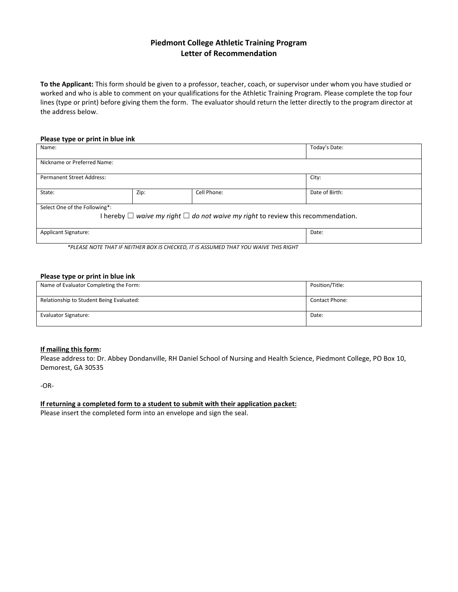# **Piedmont College Athletic Training Program Letter of Recommendation**

**To the Applicant:** This form should be given to a professor, teacher, coach, or supervisor under whom you have studied or worked and who is able to comment on your qualifications for the Athletic Training Program. Please complete the top four lines (type or print) before giving them the form. The evaluator should return the letter directly to the program director at the address below.

#### **Please type or print in blue ink**

| Name:                                                                                      |      |             | Today's Date:  |  |  |  |  |
|--------------------------------------------------------------------------------------------|------|-------------|----------------|--|--|--|--|
|                                                                                            |      |             |                |  |  |  |  |
| Nickname or Preferred Name:                                                                |      |             |                |  |  |  |  |
|                                                                                            |      |             |                |  |  |  |  |
| <b>Permanent Street Address:</b>                                                           |      |             | City:          |  |  |  |  |
|                                                                                            |      |             |                |  |  |  |  |
| State:                                                                                     | Zip: | Cell Phone: | Date of Birth: |  |  |  |  |
|                                                                                            |      |             |                |  |  |  |  |
| Select One of the Following*:                                                              |      |             |                |  |  |  |  |
| I hereby $\Box$ waive my right $\Box$ do not waive my right to review this recommendation. |      |             |                |  |  |  |  |
|                                                                                            |      |             |                |  |  |  |  |
| <b>Applicant Signature:</b>                                                                |      |             | Date:          |  |  |  |  |
|                                                                                            |      |             |                |  |  |  |  |
|                                                                                            |      |             |                |  |  |  |  |

*\*PLEASE NOTE THAT IF NEITHER BOX IS CHECKED, IT IS ASSUMED THAT YOU WAIVE THIS RIGHT*

### **Please type or print in blue ink**

| Name of Evaluator Completing the Form:   | Position/Title:       |
|------------------------------------------|-----------------------|
| Relationship to Student Being Evaluated: | <b>Contact Phone:</b> |
| Evaluator Signature:                     | Date:                 |

## **If mailing this form:**

Please address to: Dr. Abbey Dondanville, RH Daniel School of Nursing and Health Science, Piedmont College, PO Box 10, Demorest, GA 30535

-OR-

### **If returning a completed form to a student to submit with their application packet:**

Please insert the completed form into an envelope and sign the seal.